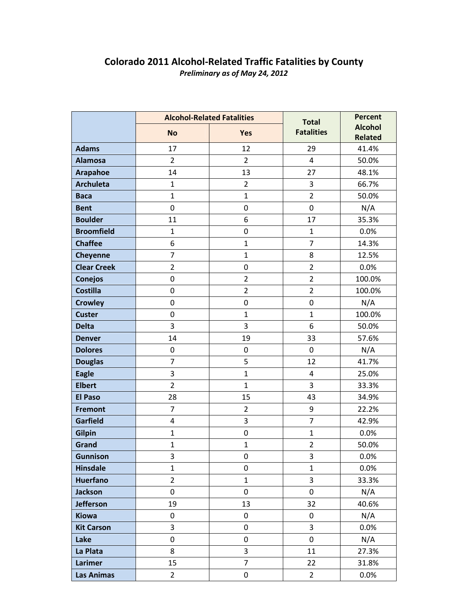|                    | <b>Alcohol-Related Fatalities</b> |                  | <b>Total</b>      | <b>Percent</b>                   |
|--------------------|-----------------------------------|------------------|-------------------|----------------------------------|
|                    | <b>No</b>                         | Yes              | <b>Fatalities</b> | <b>Alcohol</b><br><b>Related</b> |
| <b>Adams</b>       | 17                                | 12               | 29                | 41.4%                            |
| <b>Alamosa</b>     | $\overline{2}$                    | $\overline{2}$   | $\overline{4}$    | 50.0%                            |
| <b>Arapahoe</b>    | 14                                | 13               | 27                | 48.1%                            |
| <b>Archuleta</b>   | $\mathbf{1}$                      | $\overline{2}$   | 3                 | 66.7%                            |
| <b>Baca</b>        | $\mathbf{1}$                      | $\mathbf{1}$     | $\overline{2}$    | 50.0%                            |
| <b>Bent</b>        | 0                                 | 0                | $\pmb{0}$         | N/A                              |
| <b>Boulder</b>     | 11                                | 6                | 17                | 35.3%                            |
| <b>Broomfield</b>  | $\mathbf{1}$                      | 0                | $\mathbf{1}$      | 0.0%                             |
| <b>Chaffee</b>     | 6                                 | $\mathbf{1}$     | $\overline{7}$    | 14.3%                            |
| Cheyenne           | $\overline{7}$                    | $\mathbf{1}$     | 8                 | 12.5%                            |
| <b>Clear Creek</b> | $\overline{2}$                    | 0                | $\overline{2}$    | 0.0%                             |
| <b>Conejos</b>     | 0                                 | $\overline{2}$   | $\overline{2}$    | 100.0%                           |
| <b>Costilla</b>    | 0                                 | $\overline{2}$   | $\overline{2}$    | 100.0%                           |
| <b>Crowley</b>     | 0                                 | 0                | 0                 | N/A                              |
| <b>Custer</b>      | 0                                 | $\mathbf{1}$     | $\mathbf{1}$      | 100.0%                           |
| <b>Delta</b>       | 3                                 | 3                | 6                 | 50.0%                            |
| <b>Denver</b>      | 14                                | 19               | 33                | 57.6%                            |
| <b>Dolores</b>     | 0                                 | 0                | $\pmb{0}$         | N/A                              |
| <b>Douglas</b>     | $\overline{7}$                    | 5                | 12                | 41.7%                            |
| <b>Eagle</b>       | 3                                 | $\mathbf{1}$     | 4                 | 25.0%                            |
| <b>Elbert</b>      | $\overline{2}$                    | $\mathbf{1}$     | 3                 | 33.3%                            |
| <b>El Paso</b>     | 28                                | 15               | 43                | 34.9%                            |
| <b>Fremont</b>     | $\overline{7}$                    | $\overline{2}$   | 9                 | 22.2%                            |
| <b>Garfield</b>    | 4                                 | 3                | $\overline{7}$    | 42.9%                            |
| <b>Gilpin</b>      | $\mathbf{1}$                      | $\boldsymbol{0}$ | $\mathbf{1}$      | 0.0%                             |
| Grand              | $\mathbf{1}$                      | $\mathbf{1}$     | $\overline{2}$    | 50.0%                            |
| <b>Gunnison</b>    | 3                                 | 0                | 3                 | 0.0%                             |
| <b>Hinsdale</b>    | $\mathbf{1}$                      | 0                | $\mathbf{1}$      | 0.0%                             |
| <b>Huerfano</b>    | $\overline{2}$                    | $\mathbf{1}$     | 3                 | 33.3%                            |
| <b>Jackson</b>     | 0                                 | 0                | $\mathbf 0$       | N/A                              |
| <b>Jefferson</b>   | 19                                | 13               | 32                | 40.6%                            |
| <b>Kiowa</b>       | 0                                 | 0                | 0                 | N/A                              |
| <b>Kit Carson</b>  | 3                                 | 0                | 3                 | 0.0%                             |
| Lake               | 0                                 | 0                | $\pmb{0}$         | N/A                              |
| La Plata           | 8                                 | 3                | 11                | 27.3%                            |
| <b>Larimer</b>     | 15                                | $\overline{7}$   | 22                | 31.8%                            |
| <b>Las Animas</b>  | $\overline{2}$                    | $\pmb{0}$        | $\overline{2}$    | 0.0%                             |

## **Colorado 2011 Alcohol-Related Traffic Fatalities by County**  *Preliminary as of May 24, 2012*